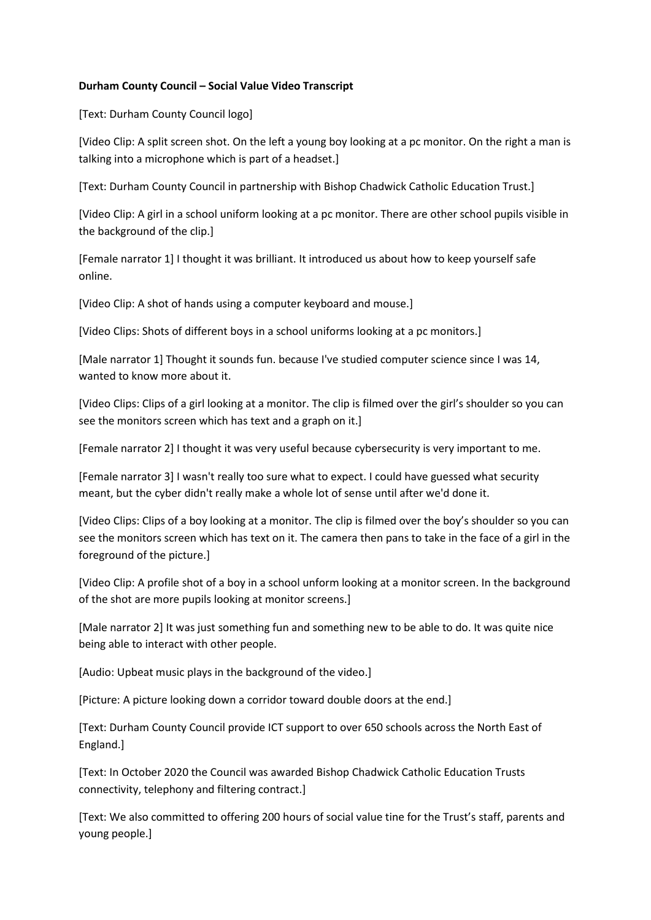### **Durham County Council – Social Value Video Transcript**

[Text: Durham County Council logo]

[Video Clip: A split screen shot. On the left a young boy looking at a pc monitor. On the right a man is talking into a microphone which is part of a headset.]

[Text: Durham County Council in partnership with Bishop Chadwick Catholic Education Trust.]

[Video Clip: A girl in a school uniform looking at a pc monitor. There are other school pupils visible in the background of the clip.]

[Female narrator 1] I thought it was brilliant. It introduced us about how to keep yourself safe online.

[Video Clip: A shot of hands using a computer keyboard and mouse.]

[Video Clips: Shots of different boys in a school uniforms looking at a pc monitors.]

[Male narrator 1] Thought it sounds fun. because I've studied computer science since I was 14, wanted to know more about it.

[Video Clips: Clips of a girl looking at a monitor. The clip is filmed over the girl's shoulder so you can see the monitors screen which has text and a graph on it.]

[Female narrator 2] I thought it was very useful because cybersecurity is very important to me.

[Female narrator 3] I wasn't really too sure what to expect. I could have guessed what security meant, but the cyber didn't really make a whole lot of sense until after we'd done it.

[Video Clips: Clips of a boy looking at a monitor. The clip is filmed over the boy's shoulder so you can see the monitors screen which has text on it. The camera then pans to take in the face of a girl in the foreground of the picture.]

[Video Clip: A profile shot of a boy in a school unform looking at a monitor screen. In the background of the shot are more pupils looking at monitor screens.]

[Male narrator 2] It was just something fun and something new to be able to do. It was quite nice being able to interact with other people.

[Audio: Upbeat music plays in the background of the video.]

[Picture: A picture looking down a corridor toward double doors at the end.]

[Text: Durham County Council provide ICT support to over 650 schools across the North East of England.]

[Text: In October 2020 the Council was awarded Bishop Chadwick Catholic Education Trusts connectivity, telephony and filtering contract.]

[Text: We also committed to offering 200 hours of social value tine for the Trust's staff, parents and young people.]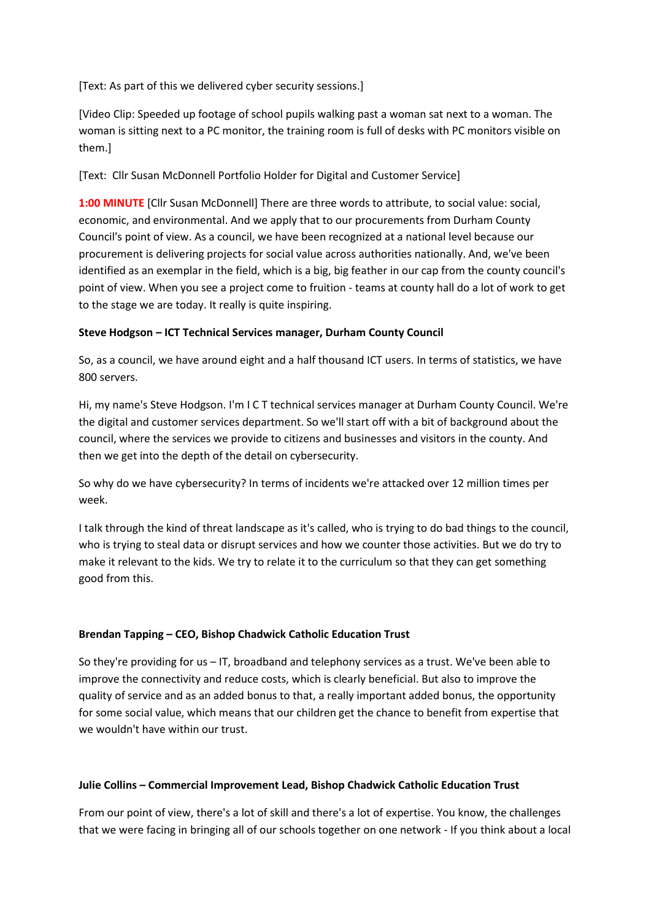[Text: As part of this we delivered cyber security sessions.]

[Video Clip: Speeded up footage of school pupils walking past a woman sat next to a woman. The woman is sitting next to a PC monitor, the training room is full of desks with PC monitors visible on them.]

[Text: Cllr Susan McDonnell Portfolio Holder for Digital and Customer Service]

**1:00 MINUTE** [Cllr Susan McDonnell] There are three words to attribute, to social value: social, economic, and environmental. And we apply that to our procurements from Durham County Council's point of view. As a council, we have been recognized at a national level because our procurement is delivering projects for social value across authorities nationally. And, we've been identified as an exemplar in the field, which is a big, big feather in our cap from the county council's point of view. When you see a project come to fruition - teams at county hall do a lot of work to get to the stage we are today. It really is quite inspiring.

## **Steve Hodgson – ICT Technical Services manager, Durham County Council**

So, as a council, we have around eight and a half thousand ICT users. In terms of statistics, we have 800 servers.

Hi, my name's Steve Hodgson. I'm I C T technical services manager at Durham County Council. We're the digital and customer services department. So we'll start off with a bit of background about the council, where the services we provide to citizens and businesses and visitors in the county. And then we get into the depth of the detail on cybersecurity.

So why do we have cybersecurity? In terms of incidents we're attacked over 12 million times per week.

I talk through the kind of threat landscape as it's called, who is trying to do bad things to the council, who is trying to steal data or disrupt services and how we counter those activities. But we do try to make it relevant to the kids. We try to relate it to the curriculum so that they can get something good from this.

## **Brendan Tapping – CEO, Bishop Chadwick Catholic Education Trust**

So they're providing for us – IT, broadband and telephony services as a trust. We've been able to improve the connectivity and reduce costs, which is clearly beneficial. But also to improve the quality of service and as an added bonus to that, a really important added bonus, the opportunity for some social value, which means that our children get the chance to benefit from expertise that we wouldn't have within our trust.

## **Julie Collins – Commercial Improvement Lead, Bishop Chadwick Catholic Education Trust**

From our point of view, there's a lot of skill and there's a lot of expertise. You know, the challenges that we were facing in bringing all of our schools together on one network - If you think about a local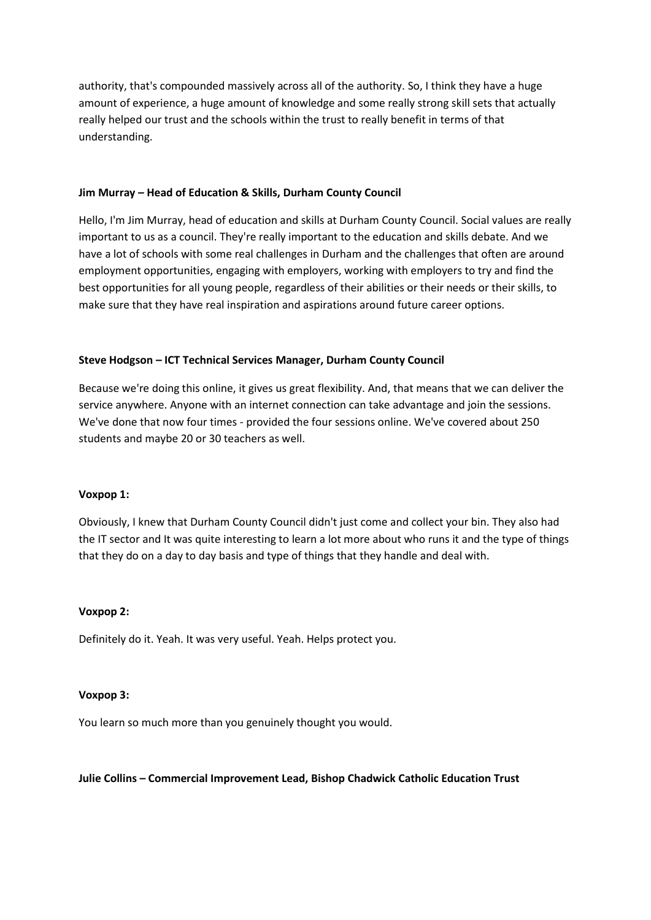authority, that's compounded massively across all of the authority. So, I think they have a huge amount of experience, a huge amount of knowledge and some really strong skill sets that actually really helped our trust and the schools within the trust to really benefit in terms of that understanding.

### **Jim Murray – Head of Education & Skills, Durham County Council**

Hello, I'm Jim Murray, head of education and skills at Durham County Council. Social values are really important to us as a council. They're really important to the education and skills debate. And we have a lot of schools with some real challenges in Durham and the challenges that often are around employment opportunities, engaging with employers, working with employers to try and find the best opportunities for all young people, regardless of their abilities or their needs or their skills, to make sure that they have real inspiration and aspirations around future career options.

### **Steve Hodgson – ICT Technical Services Manager, Durham County Council**

Because we're doing this online, it gives us great flexibility. And, that means that we can deliver the service anywhere. Anyone with an internet connection can take advantage and join the sessions. We've done that now four times - provided the four sessions online. We've covered about 250 students and maybe 20 or 30 teachers as well.

#### **Voxpop 1:**

Obviously, I knew that Durham County Council didn't just come and collect your bin. They also had the IT sector and It was quite interesting to learn a lot more about who runs it and the type of things that they do on a day to day basis and type of things that they handle and deal with.

#### **Voxpop 2:**

Definitely do it. Yeah. It was very useful. Yeah. Helps protect you.

#### **Voxpop 3:**

You learn so much more than you genuinely thought you would.

#### **Julie Collins – Commercial Improvement Lead, Bishop Chadwick Catholic Education Trust**